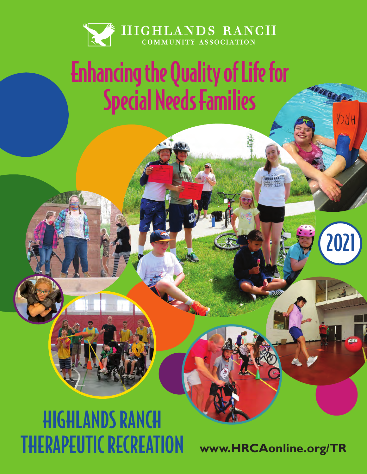

# Enhancing the Quality of Life for Special Needs Families

# HIGHLANDS RANCH THERAPEUTIC RECREATION

**www.HRCAonline.org/TR**

**INYON CRAT** 

2021

 $72H$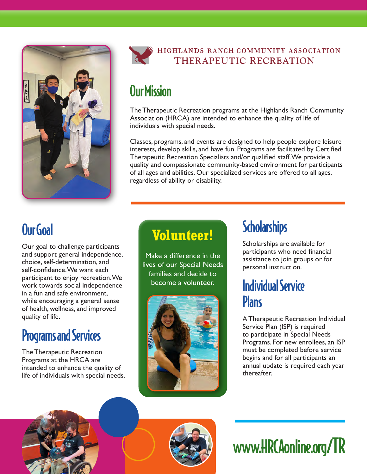



## Our Mission

The Therapeutic Recreation programs at the Highlands Ranch Community Association (HRCA) are intended to enhance the quality of life of individuals with special needs.

Classes, programs, and events are designed to help people explore leisure interests, develop skills, and have fun. Programs are facilitated by Certified Therapeutic Recreation Specialists and/or qualified staff. We provide a quality and compassionate community-based environment for participants of all ages and abilities. Our specialized services are offered to all ages, regardless of ability or disability.

## Our Goal

Our goal to challenge participants and support general independence, choice, self-determination, and self-confidence. We want each participant to enjoy recreation. We work towards social independence in a fun and safe environment, while encouraging a general sense of health, wellness, and improved quality of life.

## Programs and Services

The Therapeutic Recreation Programs at the HRCA are intended to enhance the quality of life of individuals with special needs.

## **Volunteer!**

Make a difference in the lives of our Special Needs families and decide to become a volunteer.



## **Scholarships**

Scholarships are available for participants who need financial assistance to join groups or for personal instruction.

## Individual Service **Plans**

A Therapeutic Recreation Individual Service Plan (ISP) is required to participate in Special Needs Programs. For new enrollees, an ISP must be completed before service begins and for all participants an annual update is required each year thereafter.



# www.HRCAonline.org/TR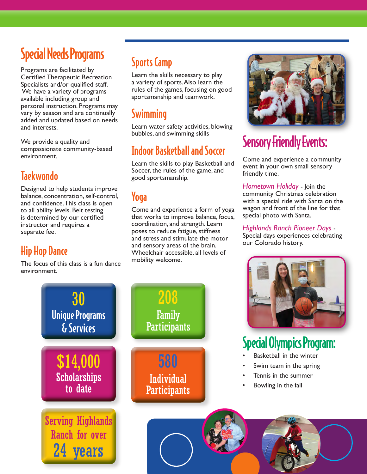## Special Needs Programs

Programs are facilitated by Certified Therapeutic Recreation Specialists and/or qualified staff. We have a variety of programs available including group and personal instruction. Programs may vary by season and are continually added and updated based on needs and interests.

We provide a quality and compassionate community-based environment.

### **Taekwondo**

Designed to help students improve balance, concentration, self-control, and confidence. This class is open to all ability levels. Belt testing is determined by our certified instructor and requires a separate fee.

### Hip Hop Dance

The focus of this class is a fun dance environment.

30

Unique Programs

& Services

\$14,000

Scholarships to date

## Sports Camp

Learn the skills necessary to play a variety of sports. Also learn the rules of the games, focusing on good sportsmanship and teamwork.

### **Swimming**

Learn water safety activities, blowing bubbles, and swimming skills

### Indoor Basketball and Soccer

Learn the skills to play Basketball and Soccer, the rules of the game, and good sportsmanship.

### Yoga

Come and experience a form of yoga that works to improve balance, focus, coordination, and strength. Learn poses to reduce fatigue, stiffness and stress and stimulate the motor and sensory areas of the brain. Wheelchair accessible, all levels of mobility welcome.



## Sensory Friendly Events:

Come and experience a community event in your own small sensory friendly time.

*Hometown Holiday* - Join the community Christmas celebration with a special ride with Santa on the wagon and front of the line for that special photo with Santa.

*Highlands Ranch Pioneer Days* - Special days experiences celebrating our Colorado history.



# Special Olympics Program:

- Basketball in the winter
- Swim team in the spring
- Tennis in the summer
- Bowling in the fall



**Participants** 580 Individual

**Participants** 

208

Family